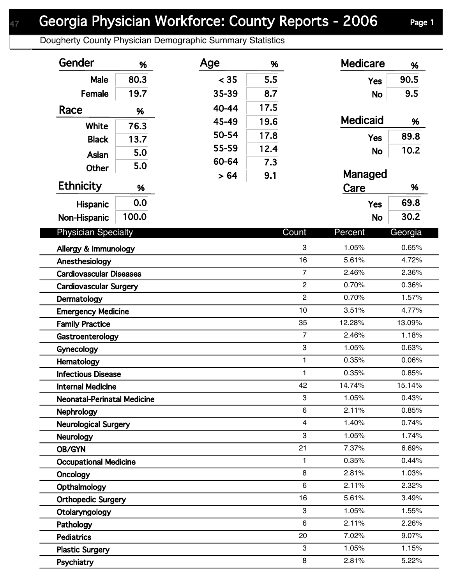## Georgia Physician Workforce: County Reports - 2006 Page 1

Dougherty County Physician Demographic Summary Statistics

| Gender                             | %     | Age   | %    |                         | <b>Medicare</b> | %              |
|------------------------------------|-------|-------|------|-------------------------|-----------------|----------------|
| Male                               | 80.3  | < 35  | 5.5  |                         | <b>Yes</b>      | 90.5           |
| Female                             | 19.7  | 35-39 | 8.7  |                         | <b>No</b>       | 9.5            |
| Race                               | %     | 40-44 | 17.5 |                         |                 |                |
| <b>White</b>                       | 76.3  | 45-49 | 19.6 |                         | <b>Medicaid</b> | %              |
| <b>Black</b>                       | 13.7  | 50-54 | 17.8 |                         | <b>Yes</b>      | 89.8           |
|                                    | 5.0   | 55-59 | 12.4 |                         | <b>No</b>       | 10.2           |
| Asian                              |       | 60-64 | 7.3  |                         |                 |                |
| Other                              | 5.0   | > 64  | 9.1  |                         | Managed         |                |
| <b>Ethnicity</b>                   | %     |       |      |                         | Care            | %              |
| Hispanic                           | 0.0   |       |      |                         | <b>Yes</b>      | 69.8           |
| Non-Hispanic                       | 100.0 |       |      |                         | <b>No</b>       | 30.2           |
| <b>Physician Specialty</b>         |       |       |      | Count                   | Percent         |                |
|                                    |       |       |      |                         |                 | Georgia        |
| Allergy & Immunology               |       |       |      | 3<br>16                 | 1.05%<br>5.61%  | 0.65%          |
| Anesthesiology                     |       |       |      | $\overline{7}$          | 2.46%           | 4.72%<br>2.36% |
| <b>Cardiovascular Diseases</b>     |       |       |      | $\overline{2}$          | 0.70%           | 0.36%          |
| <b>Cardiovascular Surgery</b>      |       |       |      | $\overline{c}$          | 0.70%           | 1.57%          |
| Dermatology                        |       |       |      | 10                      | 3.51%           | 4.77%          |
| <b>Emergency Medicine</b>          |       |       |      | 35                      | 12.28%          | 13.09%         |
| <b>Family Practice</b>             |       |       |      | $\overline{7}$          | 2.46%           | 1.18%          |
| Gastroenterology                   |       |       |      | 3                       | 1.05%           | 0.63%          |
| Gynecology<br>Hematology           |       |       |      | $\mathbf{1}$            | 0.35%           | 0.06%          |
| <b>Infectious Disease</b>          |       |       |      | $\mathbf{1}$            | 0.35%           | 0.85%          |
| <b>Internal Medicine</b>           |       |       |      | 42                      | 14.74%          | 15.14%         |
| <b>Neonatal-Perinatal Medicine</b> |       |       |      | 3                       | 1.05%           | 0.43%          |
| <b>Nephrology</b>                  |       |       |      | 6                       | 2.11%           | 0.85%          |
| <b>Neurological Surgery</b>        |       |       |      | $\overline{\mathbf{4}}$ | 1.40%           | 0.74%          |
| <b>Neurology</b>                   |       |       |      | 3                       | 1.05%           | 1.74%          |
| OB/GYN                             |       |       |      | 21                      | 7.37%           | 6.69%          |
| <b>Occupational Medicine</b>       |       |       |      | $\mathbf{1}$            | 0.35%           | 0.44%          |
| Oncology                           |       |       |      | 8                       | 2.81%           | 1.03%          |
| Opthalmology                       |       |       |      | 6                       | 2.11%           | 2.32%          |
| <b>Orthopedic Surgery</b>          |       |       |      | 16                      | 5.61%           | 3.49%          |
| Otolaryngology                     |       |       |      | 3                       | 1.05%           | 1.55%          |
| Pathology                          |       |       |      | 6                       | 2.11%           | 2.26%          |
| <b>Pediatrics</b>                  |       |       |      | 20                      | 7.02%           | 9.07%          |
| <b>Plastic Surgery</b>             |       |       |      | 3                       | 1.05%           | 1.15%          |
| Psychiatry                         |       |       |      | 8                       | 2.81%           | 5.22%          |